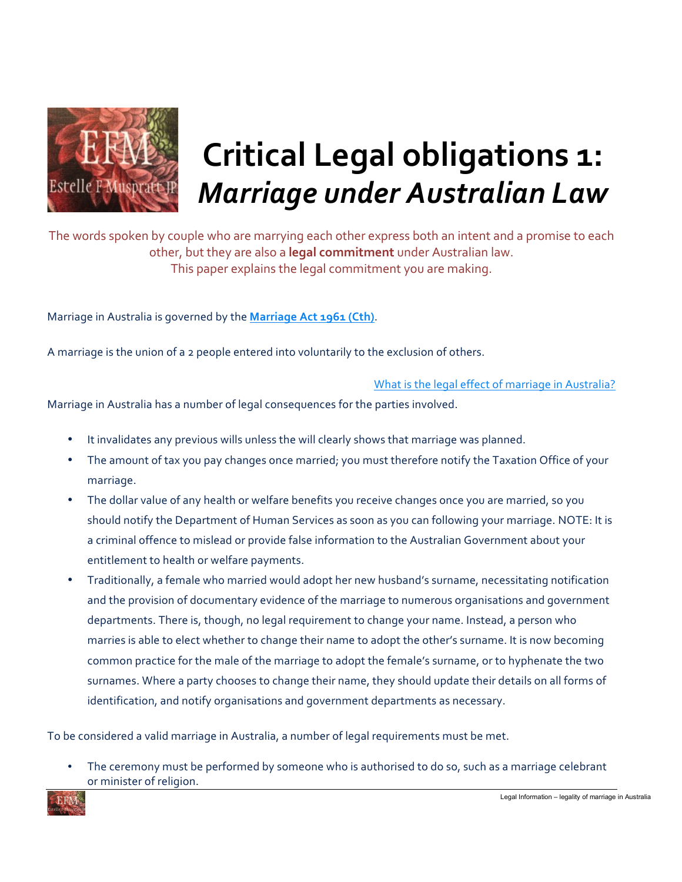

## **Critical Legal obligations 1:** *Marriage under Australian Law*

The words spoken by couple who are marrying each other express both an intent and a promise to each other, but they are also a **legal commitment** under Australian law. This paper explains the legal commitment you are making.

Marriage in Australia is governed by the **Marriage Act 1961 (Cth)**.

A marriage is the union of a 2 people entered into voluntarily to the exclusion of others.

What is the legal effect of marriage in Australia?

Marriage in Australia has a number of legal consequences for the parties involved.

- It invalidates any previous wills unless the will clearly shows that marriage was planned.
- The amount of tax you pay changes once married; you must therefore notify the Taxation Office of your marriage.
- The dollar value of any health or welfare benefits you receive changes once you are married, so you should notify the Department of Human Services as soon as you can following your marriage. NOTE: It is a criminal offence to mislead or provide false information to the Australian Government about your entitlement to health or welfare payments.
- Traditionally, a female who married would adopt her new husband's surname, necessitating notification and the provision of documentary evidence of the marriage to numerous organisations and government departments. There is, though, no legal requirement to change your name. Instead, a person who marries is able to elect whether to change their name to adopt the other's surname. It is now becoming common practice for the male of the marriage to adopt the female's surname, or to hyphenate the two surnames. Where a party chooses to change their name, they should update their details on all forms of identification, and notify organisations and government departments as necessary.

To be considered a valid marriage in Australia, a number of legal requirements must be met.

The ceremony must be performed by someone who is authorised to do so, such as a marriage celebrant or minister of religion.